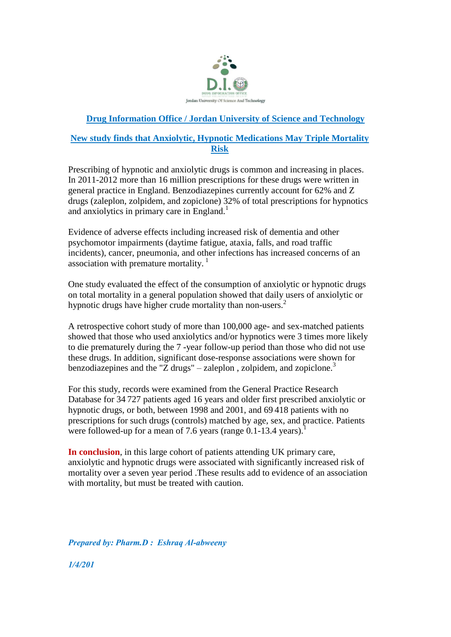

## **Drug Information Office / Jordan University of Science and Technology**

## **New study finds that Anxiolytic, Hypnotic Medications May Triple Mortality Risk**

Prescribing of hypnotic and anxiolytic drugs is common and increasing in places. In 2011-2012 more than 16 million prescriptions for these drugs were written in general practice in England. Benzodiazepines currently account for 62% and Z drugs (zaleplon, zolpidem, and zopiclone) 32% of total prescriptions for hypnotics and anxiolytics in primary care in England.<sup>1</sup>

Evidence of adverse effects including increased risk of dementia and other psychomotor impairments (daytime fatigue, ataxia, falls, and road traffic incidents), cancer, pneumonia, and other infections has increased concerns of an association with premature mortality.<sup>1</sup>

One study evaluated the effect of the consumption of anxiolytic or hypnotic drugs on total mortality in a general population showed that daily users of anxiolytic or hypnotic drugs have higher crude mortality than non-users.<sup>2</sup>

A retrospective cohort study of more than 100,000 age- and sex-matched patients showed that those who used anxiolytics and/or hypnotics were 3 times more likely to die prematurely during the 7 -year follow-up period than those who did not use these drugs. In addition, significant dose-response associations were shown for benzodiazepines and the "Z drugs" – zaleplon, zolpidem, and zopiclone. $3$ 

For this study, records were examined from the General Practice Research Database for 34 727 patients aged 16 years and older first prescribed anxiolytic or hypnotic drugs, or both, between 1998 and 2001, and 69 418 patients with no prescriptions for such drugs (controls) matched by age, sex, and practice. Patients were followed-up for a mean of 7.6 years (range 0.1-13.4 years).

**In conclusion**, in this large cohort of patients attending UK primary care, anxiolytic and hypnotic drugs were associated with significantly increased risk of mortality over a seven year period .These results add to evidence of an association with mortality, but must be treated with caution.

*Prepared by: Pharm.D : Eshraq Al-abweeny*

*1/4/201*